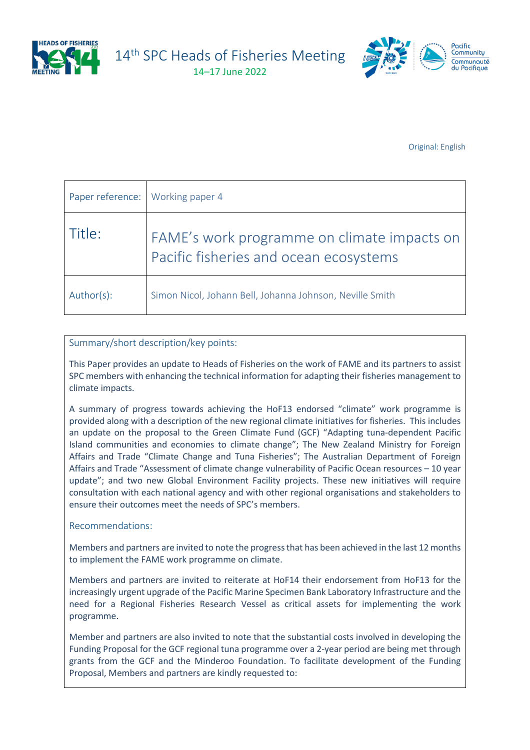

14<sup>th</sup> SPC Heads of Fisheries Meeting

14–17 June 2022



Original: English

| Paper reference: Working paper 4 |                                                                                       |
|----------------------------------|---------------------------------------------------------------------------------------|
| Title:                           | FAME's work programme on climate impacts on<br>Pacific fisheries and ocean ecosystems |
| Author(s):                       | Simon Nicol, Johann Bell, Johanna Johnson, Neville Smith                              |

#### Summary/short description/key points:

This Paper provides an update to Heads of Fisheries on the work of FAME and its partners to assist SPC members with enhancing the technical information for adapting their fisheries management to climate impacts.

A summary of progress towards achieving the HoF13 endorsed "climate" work programme is provided along with a description of the new regional climate initiatives for fisheries. This includes an update on the proposal to the Green Climate Fund (GCF) "Adapting tuna-dependent Pacific Island communities and economies to climate change"; The New Zealand Ministry for Foreign Affairs and Trade "Climate Change and Tuna Fisheries"; The Australian Department of Foreign Affairs and Trade "Assessment of climate change vulnerability of Pacific Ocean resources – 10 year update"; and two new Global Environment Facility projects. These new initiatives will require consultation with each national agency and with other regional organisations and stakeholders to ensure their outcomes meet the needs of SPC's members.

#### Recommendations:

Members and partners are invited to note the progress that has been achieved in the last 12 months to implement the FAME work programme on climate.

Members and partners are invited to reiterate at HoF14 their endorsement from HoF13 for the increasingly urgent upgrade of the Pacific Marine Specimen Bank Laboratory Infrastructure and the need for a Regional Fisheries Research Vessel as critical assets for implementing the work programme.

Member and partners are also invited to note that the substantial costs involved in developing the Funding Proposal for the GCF regional tuna programme over a 2-year period are being met through grants from the GCF and the Minderoo Foundation. To facilitate development of the Funding Proposal, Members and partners are kindly requested to: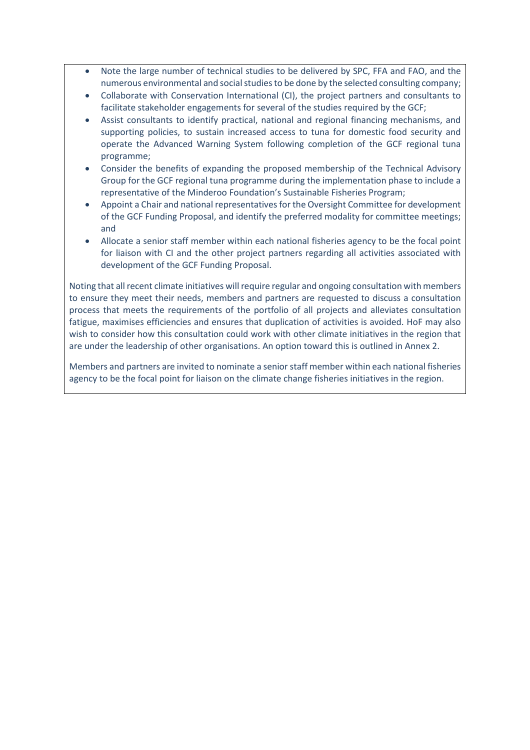- Note the large number of technical studies to be delivered by SPC, FFA and FAO, and the numerous environmental and social studies to be done by the selected consulting company;
- Collaborate with Conservation International (CI), the project partners and consultants to facilitate stakeholder engagements for several of the studies required by the GCF;
- Assist consultants to identify practical, national and regional financing mechanisms, and supporting policies, to sustain increased access to tuna for domestic food security and operate the Advanced Warning System following completion of the GCF regional tuna programme;
- Consider the benefits of expanding the proposed membership of the Technical Advisory Group for the GCF regional tuna programme during the implementation phase to include a representative of the Minderoo Foundation's Sustainable Fisheries Program;
- Appoint a Chair and national representatives for the Oversight Committee for development of the GCF Funding Proposal, and identify the preferred modality for committee meetings; and
- Allocate a senior staff member within each national fisheries agency to be the focal point for liaison with CI and the other project partners regarding all activities associated with development of the GCF Funding Proposal.

Noting that all recent climate initiatives will require regular and ongoing consultation with members to ensure they meet their needs, members and partners are requested to discuss a consultation process that meets the requirements of the portfolio of all projects and alleviates consultation fatigue, maximises efficiencies and ensures that duplication of activities is avoided. HoF may also wish to consider how this consultation could work with other climate initiatives in the region that are under the leadership of other organisations. An option toward this is outlined in Annex 2.

Members and partners are invited to nominate a senior staff member within each national fisheries agency to be the focal point for liaison on the climate change fisheries initiatives in the region.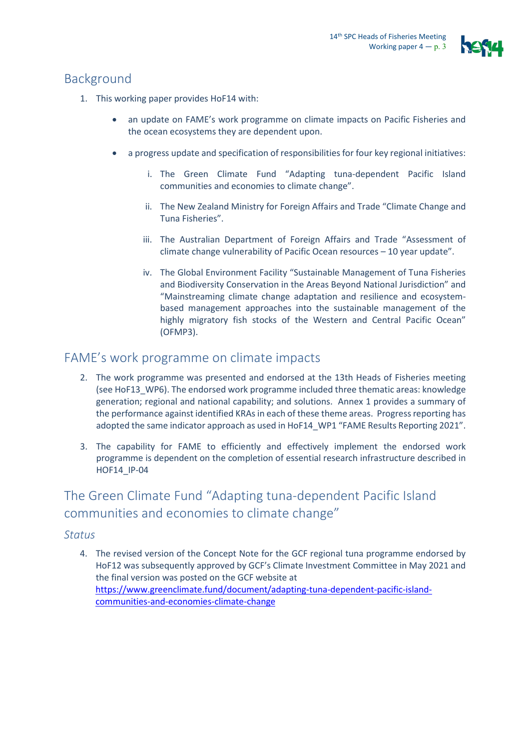

# Background

- 1. This working paper provides HoF14 with:
	- an update on FAME's work programme on climate impacts on Pacific Fisheries and the ocean ecosystems they are dependent upon.
	- a progress update and specification of responsibilities for four key regional initiatives:
		- i. The Green Climate Fund "Adapting tuna-dependent Pacific Island communities and economies to climate change".
		- ii. The New Zealand Ministry for Foreign Affairs and Trade "Climate Change and Tuna Fisheries".
		- iii. The Australian Department of Foreign Affairs and Trade "Assessment of climate change vulnerability of Pacific Ocean resources – 10 year update".
		- iv. The Global Environment Facility "Sustainable Management of Tuna Fisheries and Biodiversity Conservation in the Areas Beyond National Jurisdiction" and "Mainstreaming climate change adaptation and resilience and ecosystembased management approaches into the sustainable management of the highly migratory fish stocks of the Western and Central Pacific Ocean" (OFMP3).

### FAME's work programme on climate impacts

- 2. The work programme was presented and endorsed at the 13th Heads of Fisheries meeting (see HoF13\_WP6). The endorsed work programme included three thematic areas: knowledge generation; regional and national capability; and solutions. Annex 1 provides a summary of the performance against identified KRAs in each of these theme areas. Progress reporting has adopted the same indicator approach as used in HoF14 WP1 "FAME Results Reporting 2021".
- 3. The capability for FAME to efficiently and effectively implement the endorsed work programme is dependent on the completion of essential research infrastructure described in HOF14\_IP-04

# The Green Climate Fund "Adapting tuna-dependent Pacific Island communities and economies to climate change"

### *Status*

4. The revised version of the Concept Note for the GCF regional tuna programme endorsed by HoF12 was subsequently approved by GCF's Climate Investment Committee in May 2021 and the final version was posted on the GCF website at [https://www.greenclimate.fund/document/adapting-tuna-dependent-pacific-island](https://www.greenclimate.fund/document/adapting-tuna-dependent-pacific-island-communities-and-economies-climate-change)[communities-and-economies-climate-change](https://www.greenclimate.fund/document/adapting-tuna-dependent-pacific-island-communities-and-economies-climate-change)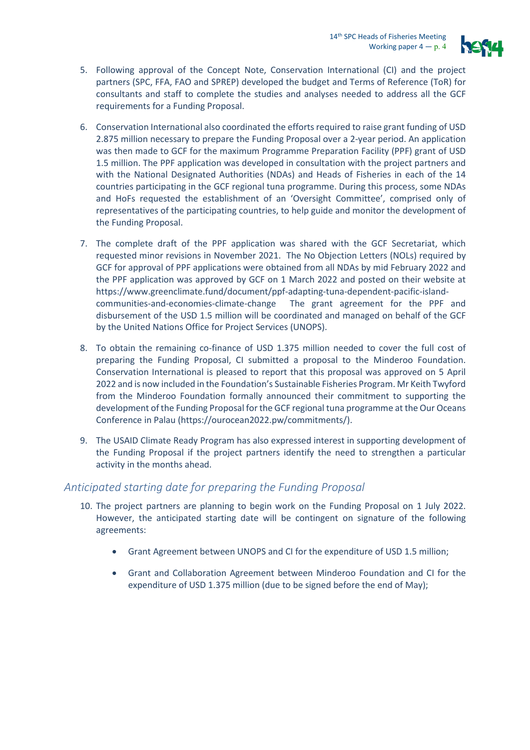

- 5. Following approval of the Concept Note, Conservation International (CI) and the project partners (SPC, FFA, FAO and SPREP) developed the budget and Terms of Reference (ToR) for consultants and staff to complete the studies and analyses needed to address all the GCF requirements for a Funding Proposal.
- 6. Conservation International also coordinated the efforts required to raise grant funding of USD 2.875 million necessary to prepare the Funding Proposal over a 2-year period. An application was then made to GCF for the maximum Programme Preparation Facility (PPF) grant of USD 1.5 million. The PPF application was developed in consultation with the project partners and with the National Designated Authorities (NDAs) and Heads of Fisheries in each of the 14 countries participating in the GCF regional tuna programme. During this process, some NDAs and HoFs requested the establishment of an 'Oversight Committee', comprised only of representatives of the participating countries, to help guide and monitor the development of the Funding Proposal.
- 7. The complete draft of the PPF application was shared with the GCF Secretariat, which requested minor revisions in November 2021. The No Objection Letters (NOLs) required by GCF for approval of PPF applications were obtained from all NDAs by mid February 2022 and the PPF application was approved by GCF on 1 March 2022 and posted on their website at [https://www.greenclimate.fund/document/ppf-adapting-tuna-dependent-pacific-island](https://www.greenclimate.fund/document/ppf-adapting-tuna-dependent-pacific-island-communities-and-economies-climate-change)[communities-and-economies-climate-change](https://www.greenclimate.fund/document/ppf-adapting-tuna-dependent-pacific-island-communities-and-economies-climate-change) The grant agreement for the PPF and disbursement of the USD 1.5 million will be coordinated and managed on behalf of the GCF by the United Nations Office for Project Services (UNOPS).
- 8. To obtain the remaining co-finance of USD 1.375 million needed to cover the full cost of preparing the Funding Proposal, CI submitted a proposal to the Minderoo Foundation. Conservation International is pleased to report that this proposal was approved on 5 April 2022 and is now included in the Foundation's Sustainable Fisheries Program. Mr Keith Twyford from the Minderoo Foundation formally announced their commitment to supporting the development of the Funding Proposal for the GCF regional tuna programme at the Our Oceans Conference in Palau [\(https://ourocean2022.pw/commitments/\)](https://nam04.safelinks.protection.outlook.com/?url=https%3A%2F%2Fourocean2022.pw%2Fcommitments%2F&data=05%7C01%7Cjkittinger%40conservation.org%7C454eb55d487b44df3c7908da294a4985%7Cc4de61a999b44c6a962ebd856602e8be%7C0%7C0%7C637867696289981329%7CUnknown%7CTWFpbGZsb3d8eyJWIjoiMC4wLjAwMDAiLCJQIjoiV2luMzIiLCJBTiI6Ik1haWwiLCJXVCI6Mn0%3D%7C3000%7C%7C%7C&sdata=iTrNVNohKvWlDFqYaiDwitKw73jfoTfZuvZTAmS3Z9g%3D&reserved=0).
- 9. The USAID Climate Ready Program has also expressed interest in supporting development of the Funding Proposal if the project partners identify the need to strengthen a particular activity in the months ahead.

### *Anticipated starting date for preparing the Funding Proposal*

- 10. The project partners are planning to begin work on the Funding Proposal on 1 July 2022. However, the anticipated starting date will be contingent on signature of the following agreements:
	- Grant Agreement between UNOPS and CI for the expenditure of USD 1.5 million;
	- Grant and Collaboration Agreement between Minderoo Foundation and CI for the expenditure of USD 1.375 million (due to be signed before the end of May);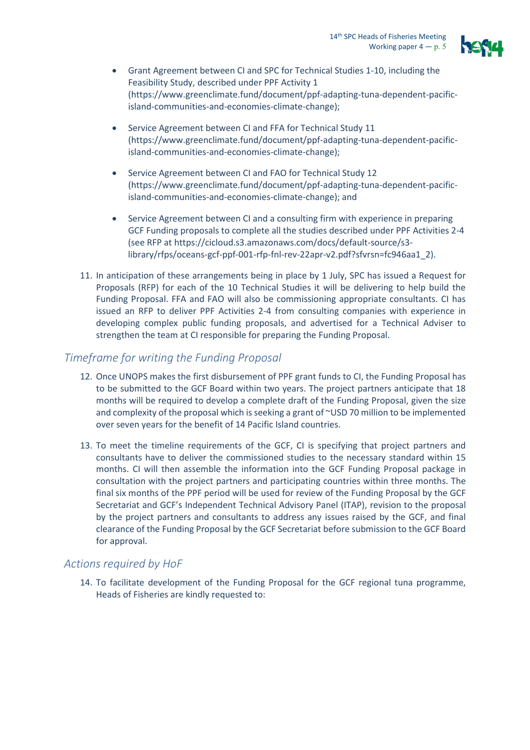

- Grant Agreement between CI and SPC for Technical Studies 1-10, including the Feasibility Study, described under PPF Activity 1 (https://www.greenclimate.fund/document/ppf-adapting-tuna-dependent-pacificisland-communities-and-economies-climate-change);
- Service Agreement between CI and FFA for Technical Study 11 [\(https://www.greenclimate.fund/document/ppf-adapting-tuna-dependent-pacific](https://www.greenclimate.fund/document/ppf-adapting-tuna-dependent-pacific-island-communities-and-economies-climate-change)[island-communities-and-economies-climate-change\)](https://www.greenclimate.fund/document/ppf-adapting-tuna-dependent-pacific-island-communities-and-economies-climate-change);
- Service Agreement between CI and FAO for Technical Study 12 [\(https://www.greenclimate.fund/document/ppf-adapting-tuna-dependent-pacific](https://www.greenclimate.fund/document/ppf-adapting-tuna-dependent-pacific-island-communities-and-economies-climate-change)[island-communities-and-economies-climate-change\)](https://www.greenclimate.fund/document/ppf-adapting-tuna-dependent-pacific-island-communities-and-economies-climate-change); and
- Service Agreement between CI and a consulting firm with experience in preparing GCF Funding proposals to complete all the studies described under PPF Activities 2-4 (see RFP a[t https://cicloud.s3.amazonaws.com/docs/default-source/s3](https://cicloud.s3.amazonaws.com/docs/default-source/s3-library/rfps/oceans-gcf-ppf-001-rfp-fnl-rev-22apr-v2.pdf?sfvrsn=fc946aa1_2) [library/rfps/oceans-gcf-ppf-001-rfp-fnl-rev-22apr-v2.pdf?sfvrsn=fc946aa1\\_2\)](https://cicloud.s3.amazonaws.com/docs/default-source/s3-library/rfps/oceans-gcf-ppf-001-rfp-fnl-rev-22apr-v2.pdf?sfvrsn=fc946aa1_2).
- 11. In anticipation of these arrangements being in place by 1 July, SPC has issued a Request for Proposals (RFP) for each of the 10 Technical Studies it will be delivering to help build the Funding Proposal. FFA and FAO will also be commissioning appropriate consultants. CI has issued an RFP to deliver PPF Activities 2-4 from consulting companies with experience in developing complex public funding proposals, and advertised for a Technical Adviser to strengthen the team at CI responsible for preparing the Funding Proposal.

#### *Timeframe for writing the Funding Proposal*

- 12. Once UNOPS makes the first disbursement of PPF grant funds to CI, the Funding Proposal has to be submitted to the GCF Board within two years. The project partners anticipate that 18 months will be required to develop a complete draft of the Funding Proposal, given the size and complexity of the proposal which is seeking a grant of ~USD 70 million to be implemented over seven years for the benefit of 14 Pacific Island countries.
- 13. To meet the timeline requirements of the GCF, CI is specifying that project partners and consultants have to deliver the commissioned studies to the necessary standard within 15 months. CI will then assemble the information into the GCF Funding Proposal package in consultation with the project partners and participating countries within three months. The final six months of the PPF period will be used for review of the Funding Proposal by the GCF Secretariat and GCF's Independent Technical Advisory Panel (ITAP), revision to the proposal by the project partners and consultants to address any issues raised by the GCF, and final clearance of the Funding Proposal by the GCF Secretariat before submission to the GCF Board for approval.

#### *Actions required by HoF*

14. To facilitate development of the Funding Proposal for the GCF regional tuna programme, Heads of Fisheries are kindly requested to: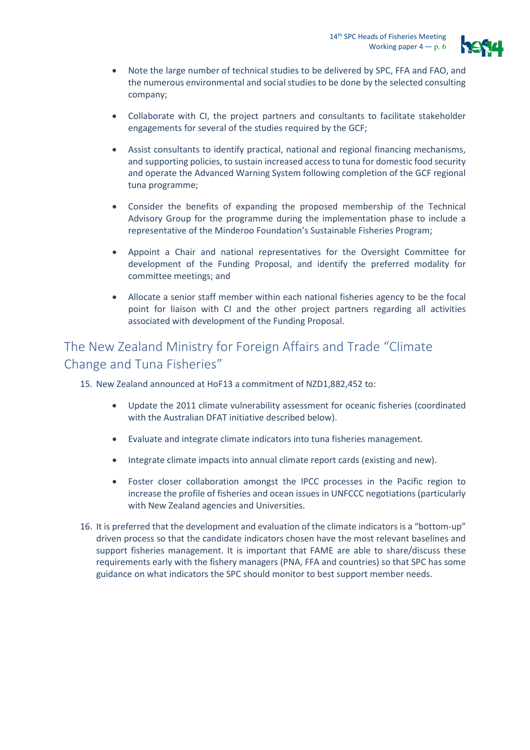

- Note the large number of technical studies to be delivered by SPC, FFA and FAO, and the numerous environmental and social studies to be done by the selected consulting company;
- Collaborate with CI, the project partners and consultants to facilitate stakeholder engagements for several of the studies required by the GCF;
- Assist consultants to identify practical, national and regional financing mechanisms, and supporting policies, to sustain increased access to tuna for domestic food security and operate the Advanced Warning System following completion of the GCF regional tuna programme;
- Consider the benefits of expanding the proposed membership of the Technical Advisory Group for the programme during the implementation phase to include a representative of the Minderoo Foundation's Sustainable Fisheries Program;
- Appoint a Chair and national representatives for the Oversight Committee for development of the Funding Proposal, and identify the preferred modality for committee meetings; and
- Allocate a senior staff member within each national fisheries agency to be the focal point for liaison with CI and the other project partners regarding all activities associated with development of the Funding Proposal.

### The New Zealand Ministry for Foreign Affairs and Trade "Climate Change and Tuna Fisheries"

15. New Zealand announced at HoF13 a commitment of NZD1,882,452 to:

- Update the 2011 climate vulnerability assessment for oceanic fisheries (coordinated with the Australian DFAT initiative described below).
- Evaluate and integrate climate indicators into tuna fisheries management.
- Integrate climate impacts into annual climate report cards (existing and new).
- Foster closer collaboration amongst the IPCC processes in the Pacific region to increase the profile of fisheries and ocean issues in UNFCCC negotiations (particularly with New Zealand agencies and Universities.
- 16. It is preferred that the development and evaluation of the climate indicators is a "bottom-up" driven process so that the candidate indicators chosen have the most relevant baselines and support fisheries management. It is important that FAME are able to share/discuss these requirements early with the fishery managers (PNA, FFA and countries) so that SPC has some guidance on what indicators the SPC should monitor to best support member needs.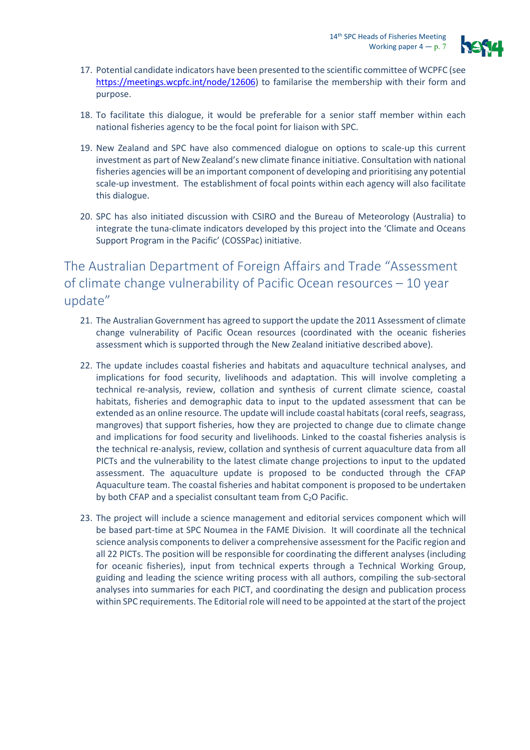

- 17. Potential candidate indicators have been presented to the scientific committee of WCPFC (see [https://meetings.wcpfc.int/node/12606\)](https://meetings.wcpfc.int/node/12606) to familarise the membership with their form and purpose.
- 18. To facilitate this dialogue, it would be preferable for a senior staff member within each national fisheries agency to be the focal point for liaison with SPC.
- 19. New Zealand and SPC have also commenced dialogue on options to scale-up this current investment as part of New Zealand's new climate finance initiative. Consultation with national fisheries agencies will be an important component of developing and prioritising any potential scale-up investment. The establishment of focal points within each agency will also facilitate this dialogue.
- 20. SPC has also initiated discussion with CSIRO and the Bureau of Meteorology (Australia) to integrate the tuna-climate indicators developed by this project into the 'Climate and Oceans Support Program in the Pacific' (COSSPac) initiative.

### The Australian Department of Foreign Affairs and Trade "Assessment of climate change vulnerability of Pacific Ocean resources – 10 year update"

- 21. The Australian Government has agreed to support the update the 2011 Assessment of climate change vulnerability of Pacific Ocean resources (coordinated with the oceanic fisheries assessment which is supported through the New Zealand initiative described above).
- 22. The update includes coastal fisheries and habitats and aquaculture technical analyses, and implications for food security, livelihoods and adaptation. This will involve completing a technical re-analysis, review, collation and synthesis of current climate science, coastal habitats, fisheries and demographic data to input to the updated assessment that can be extended as an online resource. The update will include coastal habitats (coral reefs, seagrass, mangroves) that support fisheries, how they are projected to change due to climate change and implications for food security and livelihoods. Linked to the coastal fisheries analysis is the technical re-analysis, review, collation and synthesis of current aquaculture data from all PICTs and the vulnerability to the latest climate change projections to input to the updated assessment. The aquaculture update is proposed to be conducted through the CFAP Aquaculture team. The coastal fisheries and habitat component is proposed to be undertaken by both CFAP and a specialist consultant team from  $C_2O$  Pacific.
- 23. The project will include a science management and editorial services component which will be based part-time at SPC Noumea in the FAME Division. It will coordinate all the technical science analysis components to deliver a comprehensive assessment for the Pacific region and all 22 PICTs. The position will be responsible for coordinating the different analyses (including for oceanic fisheries), input from technical experts through a Technical Working Group, guiding and leading the science writing process with all authors, compiling the sub-sectoral analyses into summaries for each PICT, and coordinating the design and publication process within SPC requirements. The Editorial role will need to be appointed at the start of the project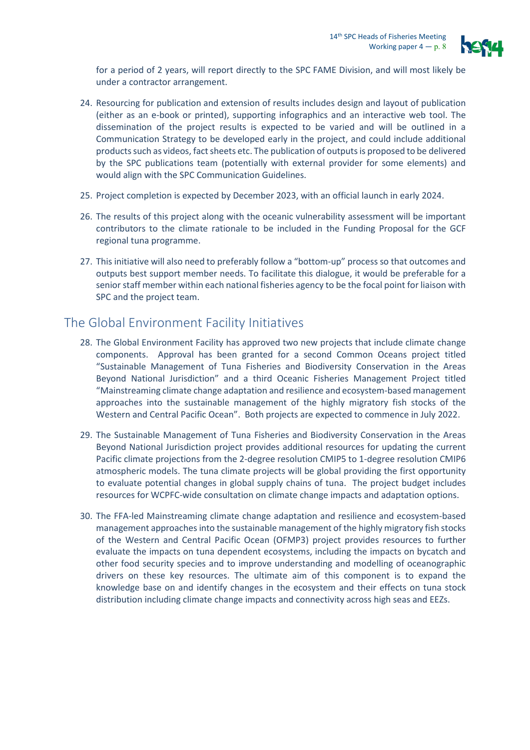

for a period of 2 years, will report directly to the SPC FAME Division, and will most likely be under a contractor arrangement.

- 24. Resourcing for publication and extension of results includes design and layout of publication (either as an e-book or printed), supporting infographics and an interactive web tool. The dissemination of the project results is expected to be varied and will be outlined in a Communication Strategy to be developed early in the project, and could include additional products such as videos, fact sheets etc. The publication of outputs is proposed to be delivered by the SPC publications team (potentially with external provider for some elements) and would align with the SPC Communication Guidelines.
- 25. Project completion is expected by December 2023, with an official launch in early 2024.
- 26. The results of this project along with the oceanic vulnerability assessment will be important contributors to the climate rationale to be included in the Funding Proposal for the GCF regional tuna programme.
- 27. This initiative will also need to preferably follow a "bottom-up" process so that outcomes and outputs best support member needs. To facilitate this dialogue, it would be preferable for a senior staff member within each national fisheries agency to be the focal point for liaison with SPC and the project team.

## The Global Environment Facility Initiatives

- 28. The Global Environment Facility has approved two new projects that include climate change components. Approval has been granted for a second Common Oceans project titled "Sustainable Management of Tuna Fisheries and Biodiversity Conservation in the Areas Beyond National Jurisdiction" and a third Oceanic Fisheries Management Project titled "Mainstreaming climate change adaptation and resilience and ecosystem-based management approaches into the sustainable management of the highly migratory fish stocks of the Western and Central Pacific Ocean". Both projects are expected to commence in July 2022.
- 29. The Sustainable Management of Tuna Fisheries and Biodiversity Conservation in the Areas Beyond National Jurisdiction project provides additional resources for updating the current Pacific climate projections from the 2-degree resolution CMIP5 to 1-degree resolution CMIP6 atmospheric models. The tuna climate projects will be global providing the first opportunity to evaluate potential changes in global supply chains of tuna. The project budget includes resources for WCPFC-wide consultation on climate change impacts and adaptation options.
- 30. The FFA-led Mainstreaming climate change adaptation and resilience and ecosystem-based management approaches into the sustainable management of the highly migratory fish stocks of the Western and Central Pacific Ocean (OFMP3) project provides resources to further evaluate the impacts on tuna dependent ecosystems, including the impacts on bycatch and other food security species and to improve understanding and modelling of oceanographic drivers on these key resources. The ultimate aim of this component is to expand the knowledge base on and identify changes in the ecosystem and their effects on tuna stock distribution including climate change impacts and connectivity across high seas and EEZs.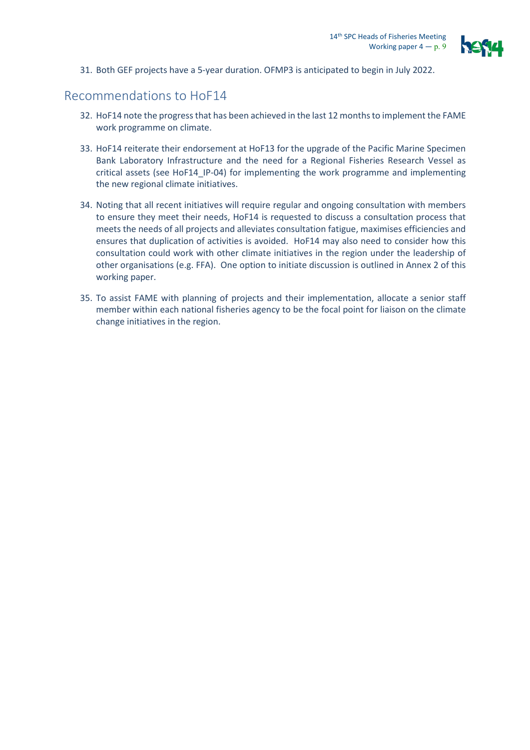

31. Both GEF projects have a 5-year duration. OFMP3 is anticipated to begin in July 2022.

### Recommendations to HoF14

- 32. HoF14 note the progress that has been achieved in the last 12 months to implement the FAME work programme on climate.
- 33. HoF14 reiterate their endorsement at HoF13 for the upgrade of the Pacific Marine Specimen Bank Laboratory Infrastructure and the need for a Regional Fisheries Research Vessel as critical assets (see HoF14\_IP-04) for implementing the work programme and implementing the new regional climate initiatives.
- 34. Noting that all recent initiatives will require regular and ongoing consultation with members to ensure they meet their needs, HoF14 is requested to discuss a consultation process that meets the needs of all projects and alleviates consultation fatigue, maximises efficiencies and ensures that duplication of activities is avoided. HoF14 may also need to consider how this consultation could work with other climate initiatives in the region under the leadership of other organisations (e.g. FFA). One option to initiate discussion is outlined in Annex 2 of this working paper.
- 35. To assist FAME with planning of projects and their implementation, allocate a senior staff member within each national fisheries agency to be the focal point for liaison on the climate change initiatives in the region.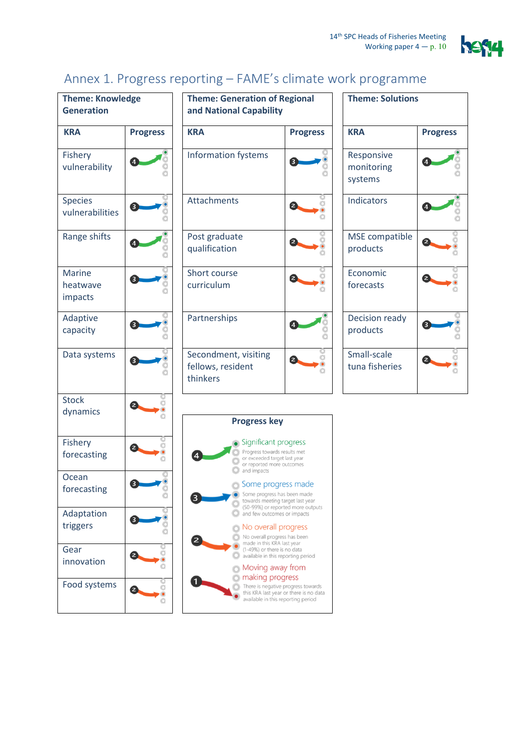

# Annex 1. Progress reporting – FAME's climate work programme

| <b>Theme: Knowledge</b><br><b>Generation</b> |                 | <b>Theme: Generation o</b><br>and National Capabil                           |  |  |
|----------------------------------------------|-----------------|------------------------------------------------------------------------------|--|--|
| <b>KRA</b>                                   | <b>Progress</b> | <b>KRA</b>                                                                   |  |  |
| Fishery<br>vulnerability                     |                 | <b>Information fystems</b>                                                   |  |  |
| <b>Species</b><br>vulnerabilities            | з               | <b>Attachments</b>                                                           |  |  |
| Range shifts                                 |                 | Post graduate<br>qualification                                               |  |  |
| <b>Marine</b><br>heatwave<br>impacts         | 3               | Short course<br>curriculum                                                   |  |  |
| Adaptive<br>capacity                         |                 | Partnerships                                                                 |  |  |
| Data systems                                 | 3               | Secondment, visiting<br>fellows, resident<br>thinkers                        |  |  |
| <b>Stock</b><br>dynamics                     | 2               | <b>Progress k</b>                                                            |  |  |
| <b>Fishery</b><br>forecasting                |                 | Significan<br>Progress towa<br>or exceeded t<br>or reported m<br>and impacts |  |  |
| Ocean<br>forecasting                         | 3               | Some pro<br>Some progres<br>towards meet<br>(50-99%) or r                    |  |  |
| Adaptation<br>triggers                       | 3               | and few outco<br>No overa<br>No overall pr<br>made in this I                 |  |  |
| Gear<br>innovation                           | 2               | (1-49%) or the<br>available in th<br>Moving a                                |  |  |
| Food systems                                 | 2               | making p<br>There is nega<br>this KRA last<br>available in th                |  |  |

| Theme: Knowledge<br><b>Generation</b> |                 | <b>Theme: Generation of Regional</b><br>and National Capability |                 | <b>Theme: Solutions</b>             |                 |
|---------------------------------------|-----------------|-----------------------------------------------------------------|-----------------|-------------------------------------|-----------------|
| <b>KRA</b>                            | <b>Progress</b> | <b>KRA</b>                                                      | <b>Progress</b> | <b>KRA</b>                          | <b>Progress</b> |
| Fishery<br>vulnerability              |                 | <b>Information fystems</b>                                      | 3               | Responsive<br>monitoring<br>systems |                 |
| Species<br>vulnerabilities            | 3               | Attachments                                                     | 2               | Indicators                          |                 |
| Range shifts                          |                 | Post graduate<br>qualification                                  |                 | MSE compatible<br>products          |                 |
| Marine<br>heatwave<br>impacts         | 3               | Short course<br>curriculum                                      |                 | Economic<br>forecasts               |                 |
| Adaptive<br>capacity                  |                 | Partnerships                                                    |                 | Decision ready<br>products          |                 |
| Data systems                          |                 | Secondment, visiting<br>fellows, resident<br>thinkers           |                 | Small-scale<br>tuna fisheries       |                 |

| <b>Theme: Solutions</b>             |                 |  |  |  |
|-------------------------------------|-----------------|--|--|--|
| <b>KRA</b>                          | <b>Progress</b> |  |  |  |
| Responsive<br>monitoring<br>systems |                 |  |  |  |
| Indicators                          |                 |  |  |  |
| MSE compatible<br>products          |                 |  |  |  |
| Economic<br>forecasts               |                 |  |  |  |
| Decision ready<br>products          |                 |  |  |  |
| Small-scale<br>tuna fisheries       |                 |  |  |  |

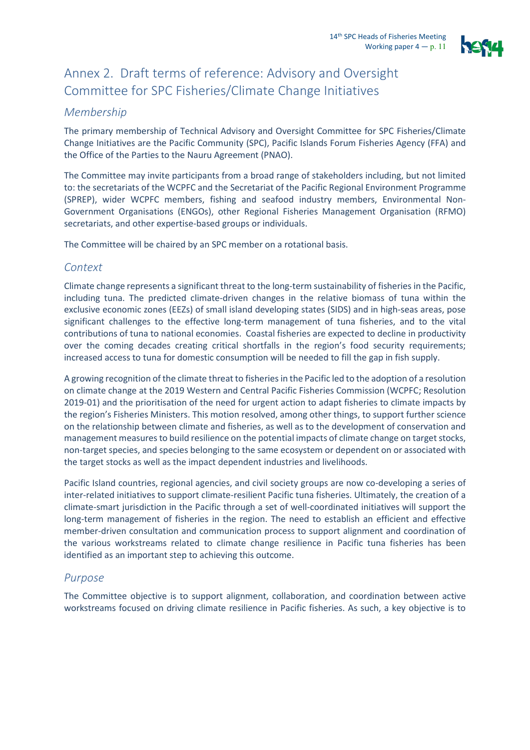

## Annex 2. Draft terms of reference: Advisory and Oversight Committee for SPC Fisheries/Climate Change Initiatives

#### *Membership*

The primary membership of Technical Advisory and Oversight Committee for SPC Fisheries/Climate Change Initiatives are the Pacific Community (SPC), Pacific Islands Forum Fisheries Agency (FFA) and the Office of the Parties to the Nauru Agreement (PNAO).

The Committee may invite participants from a broad range of stakeholders including, but not limited to: the secretariats of the WCPFC and the Secretariat of the Pacific Regional Environment Programme (SPREP), wider WCPFC members, fishing and seafood industry members, Environmental Non-Government Organisations (ENGOs), other Regional Fisheries Management Organisation (RFMO) secretariats, and other expertise-based groups or individuals.

The Committee will be chaired by an SPC member on a rotational basis.

#### *Context*

Climate change represents a significant threat to the long-term sustainability of fisheries in the Pacific, including tuna. The predicted climate-driven changes in the relative biomass of tuna within the exclusive economic zones (EEZs) of small island developing states (SIDS) and in high-seas areas, pose significant challenges to the effective long-term management of tuna fisheries, and to the vital contributions of tuna to national economies. Coastal fisheries are expected to decline in productivity over the coming decades creating critical shortfalls in the region's food security requirements; increased access to tuna for domestic consumption will be needed to fill the gap in fish supply.

A growing recognition of the climate threat to fisheries in the Pacific led to the adoption of a resolution on climate change at the 2019 Western and Central Pacific Fisheries Commission (WCPFC; Resolution 2019-01) and the prioritisation of the need for urgent action to adapt fisheries to climate impacts by the region's Fisheries Ministers. This motion resolved, among other things, to support further science on the relationship between climate and fisheries, as well as to the development of conservation and management measuresto build resilience on the potential impacts of climate change on target stocks, non-target species, and species belonging to the same ecosystem or dependent on or associated with the target stocks as well as the impact dependent industries and livelihoods.

Pacific Island countries, regional agencies, and civil society groups are now co-developing a series of inter-related initiatives to support climate-resilient Pacific tuna fisheries. Ultimately, the creation of a climate-smart jurisdiction in the Pacific through a set of well-coordinated initiatives will support the long-term management of fisheries in the region. The need to establish an efficient and effective member-driven consultation and communication process to support alignment and coordination of the various workstreams related to climate change resilience in Pacific tuna fisheries has been identified as an important step to achieving this outcome.

#### *Purpose*

The Committee objective is to support alignment, collaboration, and coordination between active workstreams focused on driving climate resilience in Pacific fisheries. As such, a key objective is to